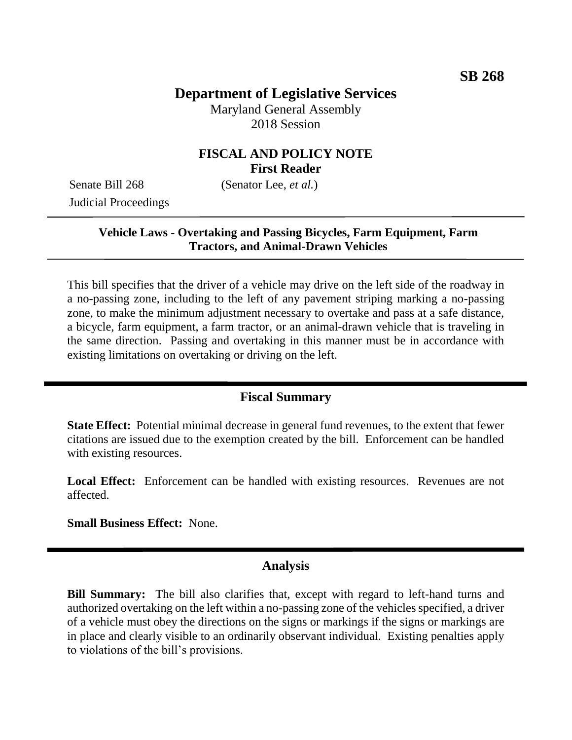# **Department of Legislative Services**

Maryland General Assembly 2018 Session

### **FISCAL AND POLICY NOTE First Reader**

Senate Bill 268 (Senator Lee, *et al.*) Judicial Proceedings

#### **Vehicle Laws - Overtaking and Passing Bicycles, Farm Equipment, Farm Tractors, and Animal-Drawn Vehicles**

This bill specifies that the driver of a vehicle may drive on the left side of the roadway in a no-passing zone, including to the left of any pavement striping marking a no-passing zone, to make the minimum adjustment necessary to overtake and pass at a safe distance, a bicycle, farm equipment, a farm tractor, or an animal-drawn vehicle that is traveling in the same direction. Passing and overtaking in this manner must be in accordance with existing limitations on overtaking or driving on the left.

#### **Fiscal Summary**

**State Effect:** Potential minimal decrease in general fund revenues, to the extent that fewer citations are issued due to the exemption created by the bill. Enforcement can be handled with existing resources.

Local Effect: Enforcement can be handled with existing resources. Revenues are not affected.

**Small Business Effect:** None.

#### **Analysis**

**Bill Summary:** The bill also clarifies that, except with regard to left-hand turns and authorized overtaking on the left within a no-passing zone of the vehicles specified, a driver of a vehicle must obey the directions on the signs or markings if the signs or markings are in place and clearly visible to an ordinarily observant individual. Existing penalties apply to violations of the bill's provisions.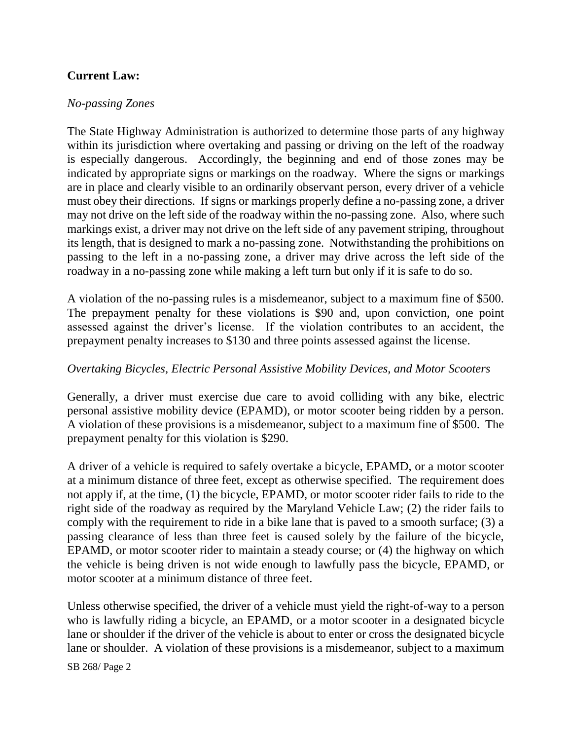## **Current Law:**

#### *No-passing Zones*

The State Highway Administration is authorized to determine those parts of any highway within its jurisdiction where overtaking and passing or driving on the left of the roadway is especially dangerous. Accordingly, the beginning and end of those zones may be indicated by appropriate signs or markings on the roadway. Where the signs or markings are in place and clearly visible to an ordinarily observant person, every driver of a vehicle must obey their directions. If signs or markings properly define a no-passing zone, a driver may not drive on the left side of the roadway within the no-passing zone. Also, where such markings exist, a driver may not drive on the left side of any pavement striping, throughout its length, that is designed to mark a no-passing zone. Notwithstanding the prohibitions on passing to the left in a no-passing zone, a driver may drive across the left side of the roadway in a no-passing zone while making a left turn but only if it is safe to do so.

A violation of the no-passing rules is a misdemeanor, subject to a maximum fine of \$500. The prepayment penalty for these violations is \$90 and, upon conviction, one point assessed against the driver's license. If the violation contributes to an accident, the prepayment penalty increases to \$130 and three points assessed against the license.

#### *Overtaking Bicycles, Electric Personal Assistive Mobility Devices, and Motor Scooters*

Generally, a driver must exercise due care to avoid colliding with any bike, electric personal assistive mobility device (EPAMD), or motor scooter being ridden by a person. A violation of these provisions is a misdemeanor, subject to a maximum fine of \$500. The prepayment penalty for this violation is \$290.

A driver of a vehicle is required to safely overtake a bicycle, EPAMD, or a motor scooter at a minimum distance of three feet, except as otherwise specified. The requirement does not apply if, at the time, (1) the bicycle, EPAMD, or motor scooter rider fails to ride to the right side of the roadway as required by the Maryland Vehicle Law; (2) the rider fails to comply with the requirement to ride in a bike lane that is paved to a smooth surface; (3) a passing clearance of less than three feet is caused solely by the failure of the bicycle, EPAMD, or motor scooter rider to maintain a steady course; or (4) the highway on which the vehicle is being driven is not wide enough to lawfully pass the bicycle, EPAMD, or motor scooter at a minimum distance of three feet.

Unless otherwise specified, the driver of a vehicle must yield the right-of-way to a person who is lawfully riding a bicycle, an EPAMD, or a motor scooter in a designated bicycle lane or shoulder if the driver of the vehicle is about to enter or cross the designated bicycle lane or shoulder. A violation of these provisions is a misdemeanor, subject to a maximum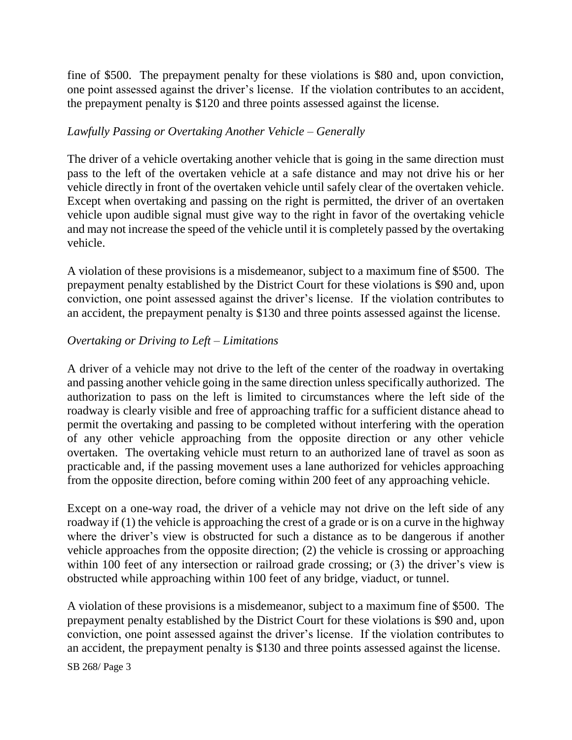fine of \$500. The prepayment penalty for these violations is \$80 and, upon conviction, one point assessed against the driver's license. If the violation contributes to an accident, the prepayment penalty is \$120 and three points assessed against the license.

#### *Lawfully Passing or Overtaking Another Vehicle – Generally*

The driver of a vehicle overtaking another vehicle that is going in the same direction must pass to the left of the overtaken vehicle at a safe distance and may not drive his or her vehicle directly in front of the overtaken vehicle until safely clear of the overtaken vehicle. Except when overtaking and passing on the right is permitted, the driver of an overtaken vehicle upon audible signal must give way to the right in favor of the overtaking vehicle and may not increase the speed of the vehicle until it is completely passed by the overtaking vehicle.

A violation of these provisions is a misdemeanor, subject to a maximum fine of \$500. The prepayment penalty established by the District Court for these violations is \$90 and, upon conviction, one point assessed against the driver's license. If the violation contributes to an accident, the prepayment penalty is \$130 and three points assessed against the license.

#### *Overtaking or Driving to Left – Limitations*

A driver of a vehicle may not drive to the left of the center of the roadway in overtaking and passing another vehicle going in the same direction unless specifically authorized. The authorization to pass on the left is limited to circumstances where the left side of the roadway is clearly visible and free of approaching traffic for a sufficient distance ahead to permit the overtaking and passing to be completed without interfering with the operation of any other vehicle approaching from the opposite direction or any other vehicle overtaken. The overtaking vehicle must return to an authorized lane of travel as soon as practicable and, if the passing movement uses a lane authorized for vehicles approaching from the opposite direction, before coming within 200 feet of any approaching vehicle.

Except on a one-way road, the driver of a vehicle may not drive on the left side of any roadway if (1) the vehicle is approaching the crest of a grade or is on a curve in the highway where the driver's view is obstructed for such a distance as to be dangerous if another vehicle approaches from the opposite direction; (2) the vehicle is crossing or approaching within 100 feet of any intersection or railroad grade crossing; or (3) the driver's view is obstructed while approaching within 100 feet of any bridge, viaduct, or tunnel.

A violation of these provisions is a misdemeanor, subject to a maximum fine of \$500. The prepayment penalty established by the District Court for these violations is \$90 and, upon conviction, one point assessed against the driver's license. If the violation contributes to an accident, the prepayment penalty is \$130 and three points assessed against the license.